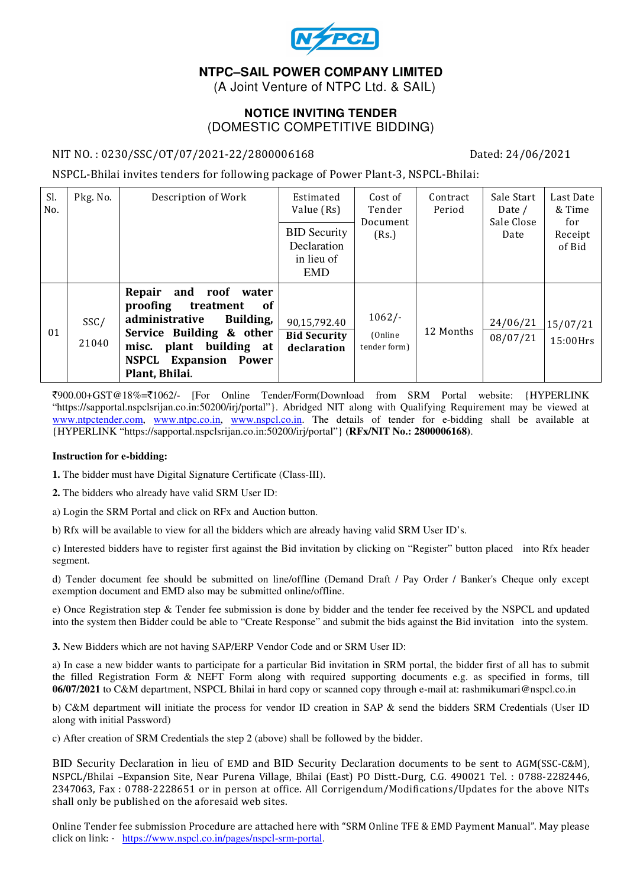

## **NTPC–SAIL POWER COMPANY LIMITED**

(A Joint Venture of NTPC Ltd. & SAIL)

#### **NOTICE INVITING TENDER**  (DOMESTIC COMPETITIVE BIDDING)

#### NIT NO. : 0230/SSC/OT/07/2021-22/2800006168 Dated: 24/06/2021

NSPCL-Bhilai invites tenders for following package of Power Plant-3, NSPCL-Bhilai:

| Sl.<br>No. | Pkg. No.      | Description of Work                                                                                                                                                                                                 | Estimated<br>Value (Rs)<br><b>BID Security</b><br>Declaration<br>in lieu of<br><b>EMD</b> | Cost of<br>Tender<br>Document<br>(Rs.) | Contract<br>Period | Sale Start<br>Date /<br>Sale Close<br>Date | Last Date<br>& Time<br>for<br>Receipt<br>of Bid |
|------------|---------------|---------------------------------------------------------------------------------------------------------------------------------------------------------------------------------------------------------------------|-------------------------------------------------------------------------------------------|----------------------------------------|--------------------|--------------------------------------------|-------------------------------------------------|
| 01         | SSC/<br>21040 | Repair<br>and roof water<br>proofing<br>treatment<br><b>of</b><br>administrative<br>Building,<br>Service Building & other<br>plant building at<br>misc.<br><b>NSPCL</b><br><b>Expansion Power</b><br>Plant, Bhilai. | 90,15,792.40<br><b>Bid Security</b><br>declaration                                        | $1062/-$<br>(Online<br>tender form)    | 12 Months          | 24/06/21<br>08/07/21                       | 15/07/21<br>15:00Hrs                            |

`900.00+GST@18%=`1062/- [For Online Tender/Form(Download from SRM Portal website: {HYPERLINK "https://sapportal.nspclsrijan.co.in:50200/irj/portal"}. Abridged NIT along with Qualifying Requirement may be viewed at www.ntpctender.com, www.ntpc.co.in, www.nspcl.co.in. The details of tender for e-bidding shall be available at {HYPERLINK "https://sapportal.nspclsrijan.co.in:50200/irj/portal"} **(RFx/NIT No.: 2800006168)**.

#### **Instruction for e-bidding:**

**1.** The bidder must have Digital Signature Certificate (Class-III).

**2.** The bidders who already have valid SRM User ID:

a) Login the SRM Portal and click on RFx and Auction button.

b) Rfx will be available to view for all the bidders which are already having valid SRM User ID's.

c) Interested bidders have to register first against the Bid invitation by clicking on "Register" button placed into Rfx header segment.

d) Tender document fee should be submitted on line/offline (Demand Draft / Pay Order / Banker's Cheque only except exemption document and EMD also may be submitted online/offline.

e) Once Registration step & Tender fee submission is done by bidder and the tender fee received by the NSPCL and updated into the system then Bidder could be able to "Create Response" and submit the bids against the Bid invitation into the system.

**3.** New Bidders which are not having SAP/ERP Vendor Code and or SRM User ID:

a) In case a new bidder wants to participate for a particular Bid invitation in SRM portal, the bidder first of all has to submit the filled Registration Form & NEFT Form along with required supporting documents e.g. as specified in forms, till **06/07/2021** to C&M department, NSPCL Bhilai in hard copy or scanned copy through e-mail at: rashmikumari@nspcl.co.in

b) C&M department will initiate the process for vendor ID creation in SAP & send the bidders SRM Credentials (User ID along with initial Password)

c) After creation of SRM Credentials the step 2 (above) shall be followed by the bidder.

BID Security Declaration in lieu of EMD and BID Security Declaration documents to be sent to AGM(SSC-C&M), NSPCL/Bhilai –Expansion Site, Near Purena Village, Bhilai (East) PO Distt.-Durg, C.G. 490021 Tel. : 0788-2282446, 2347063, Fax : 0788-2228651 or in person at office. All Corrigendum/Modifications/Updates for the above NITs shall only be published on the aforesaid web sites.

Online Tender fee submission Procedure are attached here with "SRM Online TFE & EMD Payment Manual". May please click on link: - https://www.nspcl.co.in/pages/nspcl-srm-portal.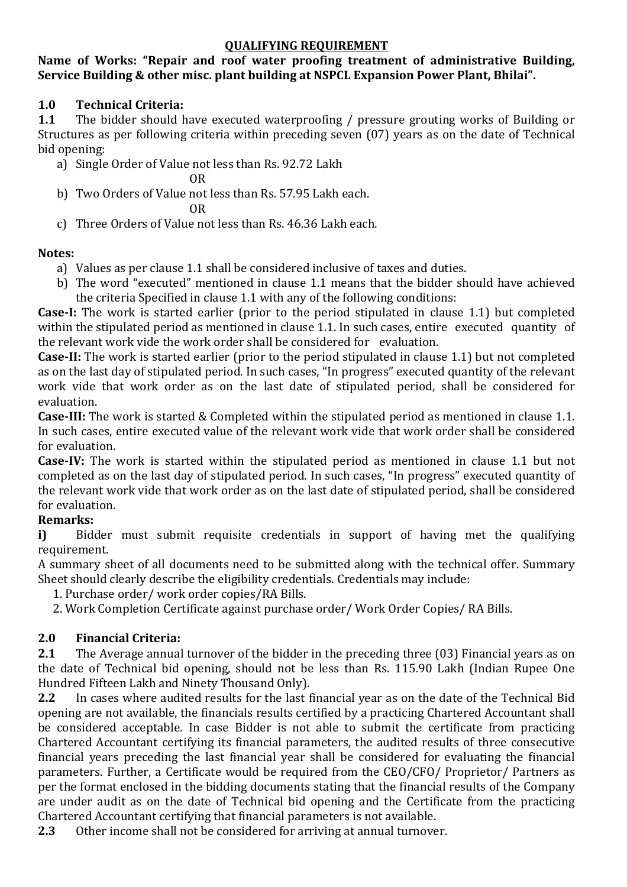#### QUALIFYING REQUIREMENT

### Name of Works: "Repair and roof water proofing treatment of administrative Building, Service Building & other misc. plant building at NSPCL Expansion Power Plant, Bhilai".

### 1.0 Technical Criteria:

1.1 The bidder should have executed waterproofing / pressure grouting works of Building or Structures as per following criteria within preceding seven (07) years as on the date of Technical bid opening:

a) Single Order of Value not less than Rs. 92.72 Lakh

OR

b) Two Orders of Value not less than Rs. 57.95 Lakh each.

OR

c) Three Orders of Value not less than Rs. 46.36 Lakh each.

## Notes:

- a) Values as per clause 1.1 shall be considered inclusive of taxes and duties.
- b) The word "executed" mentioned in clause 1.1 means that the bidder should have achieved the criteria Specified in clause 1.1 with any of the following conditions:

Case-I: The work is started earlier (prior to the period stipulated in clause 1.1) but completed within the stipulated period as mentioned in clause 1.1. In such cases, entire executed quantity of the relevant work vide the work order shall be considered for evaluation.

Case-II: The work is started earlier (prior to the period stipulated in clause 1.1) but not completed as on the last day of stipulated period. In such cases, "In progress" executed quantity of the relevant work vide that work order as on the last date of stipulated period, shall be considered for evaluation.

Case-III: The work is started & Completed within the stipulated period as mentioned in clause 1.1. In such cases, entire executed value of the relevant work vide that work order shall be considered for evaluation.

Case-IV: The work is started within the stipulated period as mentioned in clause 1.1 but not completed as on the last day of stipulated period. In such cases, "In progress" executed quantity of the relevant work vide that work order as on the last date of stipulated period, shall be considered for evaluation.

# Remarks:

i) Bidder must submit requisite credentials in support of having met the qualifying requirement.

A summary sheet of all documents need to be submitted along with the technical offer. Summary Sheet should clearly describe the eligibility credentials. Credentials may include:

1. Purchase order/ work order copies/RA Bills.

2. Work Completion Certificate against purchase order/ Work Order Copies/ RA Bills.

# 2.0 Financial Criteria:

2.1 The Average annual turnover of the bidder in the preceding three (03) Financial years as on the date of Technical bid opening, should not be less than Rs. 115.90 Lakh (Indian Rupee One Hundred Fifteen Lakh and Ninety Thousand Only).

2.2 In cases where audited results for the last financial year as on the date of the Technical Bid opening are not available, the financials results certified by a practicing Chartered Accountant shall be considered acceptable. In case Bidder is not able to submit the certificate from practicing Chartered Accountant certifying its financial parameters, the audited results of three consecutive financial years preceding the last financial year shall be considered for evaluating the financial parameters. Further, a Certificate would be required from the CEO/CFO/ Proprietor/ Partners as per the format enclosed in the bidding documents stating that the financial results of the Company are under audit as on the date of Technical bid opening and the Certificate from the practicing Chartered Accountant certifying that financial parameters is not available.

2.3 Other income shall not be considered for arriving at annual turnover.